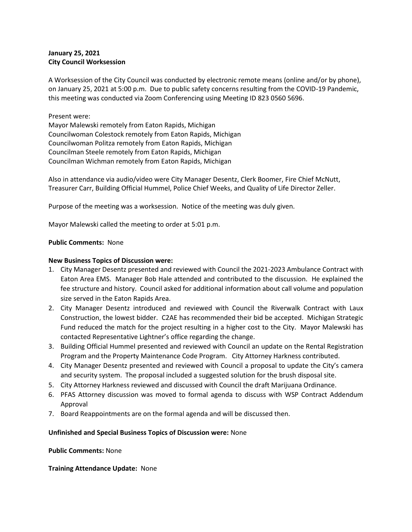# **January 25, 2021 City Council Worksession**

A Worksession of the City Council was conducted by electronic remote means (online and/or by phone), on January 25, 2021 at 5:00 p.m. Due to public safety concerns resulting from the COVID-19 Pandemic, this meeting was conducted via Zoom Conferencing using Meeting ID 823 0560 5696.

### Present were:

Mayor Malewski remotely from Eaton Rapids, Michigan Councilwoman Colestock remotely from Eaton Rapids, Michigan Councilwoman Politza remotely from Eaton Rapids, Michigan Councilman Steele remotely from Eaton Rapids, Michigan Councilman Wichman remotely from Eaton Rapids, Michigan

Also in attendance via audio/video were City Manager Desentz, Clerk Boomer, Fire Chief McNutt, Treasurer Carr, Building Official Hummel, Police Chief Weeks, and Quality of Life Director Zeller.

Purpose of the meeting was a worksession. Notice of the meeting was duly given.

Mayor Malewski called the meeting to order at 5:01 p.m.

## **Public Comments:** None

### **New Business Topics of Discussion were:**

- 1. City Manager Desentz presented and reviewed with Council the 2021-2023 Ambulance Contract with Eaton Area EMS. Manager Bob Hale attended and contributed to the discussion. He explained the fee structure and history. Council asked for additional information about call volume and population size served in the Eaton Rapids Area.
- 2. City Manager Desentz introduced and reviewed with Council the Riverwalk Contract with Laux Construction, the lowest bidder. C2AE has recommended their bid be accepted. Michigan Strategic Fund reduced the match for the project resulting in a higher cost to the City. Mayor Malewski has contacted Representative Lightner's office regarding the change.
- 3. Building Official Hummel presented and reviewed with Council an update on the Rental Registration Program and the Property Maintenance Code Program. City Attorney Harkness contributed.
- 4. City Manager Desentz presented and reviewed with Council a proposal to update the City's camera and security system. The proposal included a suggested solution for the brush disposal site.
- 5. City Attorney Harkness reviewed and discussed with Council the draft Marijuana Ordinance.
- 6. PFAS Attorney discussion was moved to formal agenda to discuss with WSP Contract Addendum Approval
- 7. Board Reappointments are on the formal agenda and will be discussed then.

### **Unfinished and Special Business Topics of Discussion were:** None

### **Public Comments:** None

### **Training Attendance Update:** None